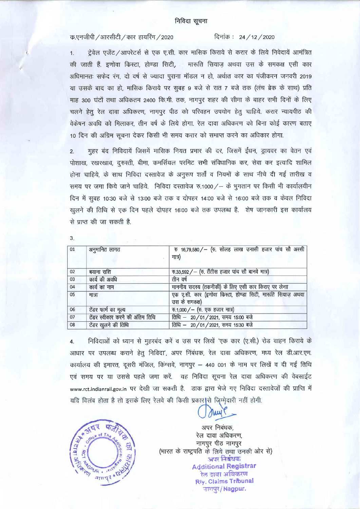## निविदा सूचना

क.एनजीपी /आरसीटी / कार हायरिंग / 2020

## दिनांक: 24 / 12 / 2020

ट्रेवेल एजेंट /आपरेटर्स से एक ए.सी. कार मासिक किराये से करार के लिये निवेदायें आमंत्रित  $\mathbf{1}$ की जाती हैं. इणोवा किस्टा, होण्डा सिटी, ं मारूति सियाज़ अथवा उस के समकक्ष एसी कार अधिमानतः सफेद रंग, दो वर्ष से ज्यादा पूराना मॉडल न हो, अर्थात कार का पंजीकरन जनवरी 2019 या उसके बाद का हो, मासिक किराये पर सुबह 9 बजे से रात 7 बजे तक (लंच ब्रेक के साथ) प्रति माह 300 घंटों तथा अधिकतम 2400 कि.मी. तक, नागपुर शहर की सीमा के बाहर सभी दिनों के लिए चलने हेतु रेल दावा अधिकरण, नागपुर पीठ को परिवहन उपयोग हेतु चाहिये. करार न्यायपीठ की वेकेषन अवधि को मिलाकर, तीन वर्ष के लिये होगा. रेल दावा अधिकरण को बिना कोई कारण बताए 10 दिन की अग्रिम सूचना देकर किसी भी समय करार को समाप्त करने का अधिकार होगा.

मुहर बंद निविदायें जिसमें मासिक नियत प्रभार की दर, जिसमें ईंधन, ड्रायवर का वेतन एवं  $\overline{2}$ . पोशाख, रखरखाव, दूरुस्ती, बीमा, कमर्सियल परमिट सभी संविधानिक कर, सेवा कर इत्यादि शामिल होना चाहिये, के साथ निविदा दस्तावेज के अनुरूप शर्तों व नियमों के साथ नीचे दी गई तारीख व समय पर जमा किये जाने चाहिये. निविदा दस्तावेज रु.1000 /- के भुगतान पर किसी भी कार्यालयीन दिन में सूबह 10:30 बजे से 13:00 बजे तक व दोपहर 14:00 बजे से 16:00 बजे तक व केवल निविदा खुलने की तिथि से एक दिन पहले दोपहर 16:00 बजे तक उपलब्ध है. शेष जानकारी इस कार्यालय से प्राप्त की जा सकती है.

| 01 | अनुमानित लागत                    | $\bar{x}$ 16,79,580/- (रु. सोलह लाख उनासी हजार पांच सौ अस्सी<br>मात्र)       |
|----|----------------------------------|------------------------------------------------------------------------------|
| 02 | बयाना राशि                       | $\overline{6}$ .33,592/ - (रु. तैंतीस हजार पांच सौ बानवे मात्र)              |
| 03 | कार्य की अवधि                    | तीन वर्ष                                                                     |
| 04 | कार्य का नाम                     | माननीय सदस्य (तकनीकी) के लिए एसी कार किराए पर लेनाा                          |
| 05 | मात्रा                           | एक ए.सी. कार (इणोवा किस्टा, होण्डा सिटी, मारूति सियाज़ अथवा<br>उस के समकक्ष) |
| 06 | टेंडर फार्म का मूल्य             | $\overline{v}$ .1,000 / - ( $\overline{v}$ . एक हजार मात्र)                  |
| 07 | टेंडर स्वीकार करने की अंतिम तिथि | तिथि - 20/01/2021, समय 15:00 बजे                                             |
| 08 | टेंडर खुलने की तिथि              | तिथि - 20/01/2021, समय 15:30 बजे                                             |

निविदाओं को ध्यान से महरबंद करें व उस पर लिखें 'एक कार (ए.सी.) रोड वाहन किराये के  $\overline{4}$ आधार पर उपलब्ध कराने हेतू निविदा', अपर निबंधक, रेल दावा अधिकरण, मध्य रेल डी.आर.एम. कार्यालय की इमारत, दूसरी मंजिल, किंग्सवे, नागपुर - 440 001 के नाम पर लिखें व दी गई तिथि एवं समय पर या उससे पहले जमा करें. यह निविदा सूचना रेल दावा अधिकरण की वेबसाईट www.rct.indianrail.gov.in पर देखी जा सकती है. डाक द्वारा भेजे गए निविदा दस्तावेजों की प्राप्ति में यदि विलंब होता है तो इसके लिए रेलवे की किसी प्रकार।से जिम्मेदारी नहीं होगी.



अपर निबंधक. रेल दावा अधिकरण, नागपूर पीठ नागपूर (भारत के राष्ट्रपति के लिये तथा उनकी ओर से) अपर निबंधक **Additional Registrar** रेल दावा अधिकरण **Riv. Claims Tribunal** जागपूर/Nagpur.